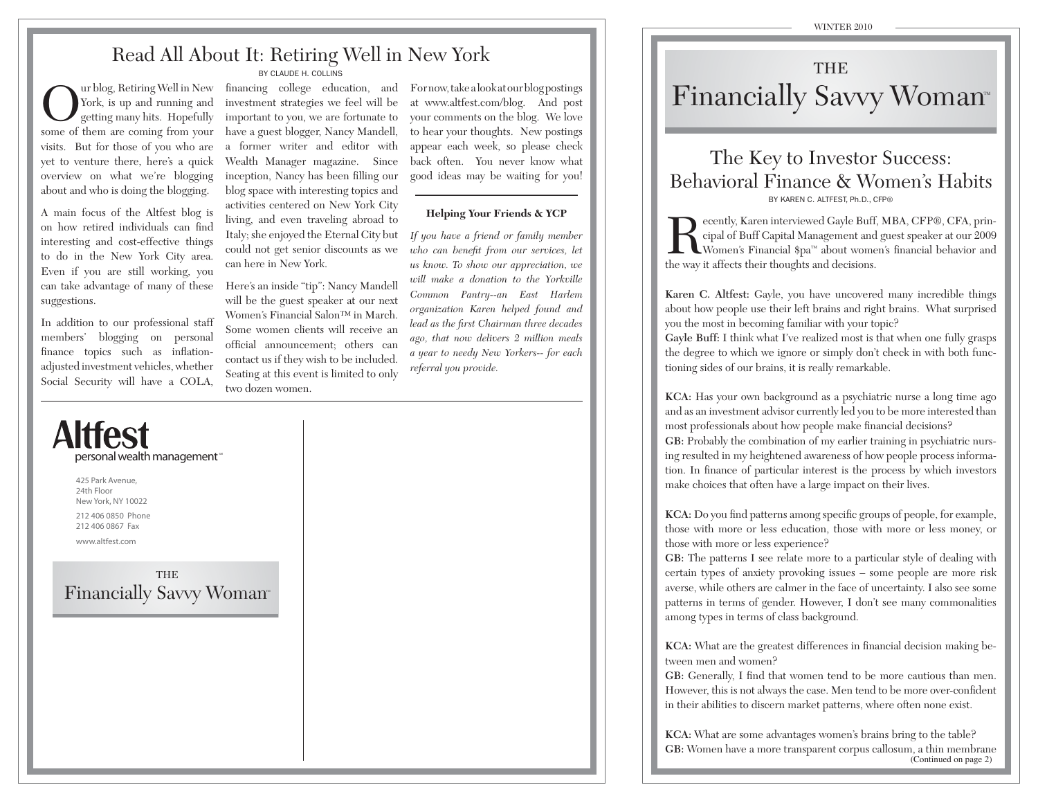## Read All About It: Retiring Well in New York

BY CLAUDE H. COLLINS

**O** ur blog, Retiring Well in New York, is up and running and getting many hits. Hopefully some of them are coming from your visits. But for those of you who are yet to venture there, here's a quick overview on what we're blogging about and who is doing the blogging.

A main focus of the Altfest blog is on how retired individuals can find interesting and cost-effective things to do in the New York City area. Even if you are still working, you can take advantage of many of these suggestions.

In addition to our professional staff members' blogging on personal finance topics such as inflationadjusted investment vehicles, whether Social Security will have a COLA,

personal wealth management<sup>\*</sup>

investment strategies we feel will be important to you, we are fortunate to have a guest blogger, Nancy Mandell, a former writer and editor with Wealth Manager magazine. Since inception, Nancy has been filling our blog space with interesting topics and activities centered on New York City living, and even traveling abroad to Italy; she enjoyed the Eternal City but could not get senior discounts as we can here in New York.

Here's an inside "tip": Nancy Mandell will be the guest speaker at our next Women's Financial Salon™ in March. Some women clients will receive an official announcement; others can contact us if they wish to be included. Seating at this event is limited to only two dozen women.

financing college education, and For now, take a look at our blog postings at www.altfest.com/blog. And post your comments on the blog. We love to hear your thoughts. New postings appear each week, so please check back often. You never know what good ideas may be waiting for you!

### **Helping Your Friends & YCP**

*If you have a friend or family member who can benefit from our services, let us know. To show our appreciation, we will make a donation to the Yorkville Common Pantry--an East Harlem organization Karen helped found and lead as the first Chairman three decades ago, that now delivers 2 million meals a year to needy New Yorkers-- for each referral you provide.*

## THEFinancially Savvy Woman<sup>®</sup>

## The Key to Investor Success: Behavioral Finance & Women's HabitsBY KAREN C. ALTEEST Ph.D., CFP®

**PHERECE ALTAN** ecently, Karen interviewed Gayle Buff, MBA, CFP®, CFA, prin-<br>Cipal of Buff Capital Management and guest speaker at our 2009<br>Women's Financial \$pa™ about women's financial behavior and the way it affects their thoughts and decisions.

**Karen C. Altfest:** Gayle, you have uncovered many incredible things about how people use their left brains and right brains. What surprised you the most in becoming familiar with your topic?

**Gayle Buff:** I think what I've realized most is that when one fully grasps the degree to which we ignore or simply don't check in with both functioning sides of our brains, it is really remarkable.

**KCA:** Has your own background as a psychiatric nurse a long time ago and as an investment advisor currently led you to be more interested than most professionals about how people make financial decisions?

**GB:** Probably the combination of my earlier training in psychiatric nursing resulted in my heightened awareness of how people process information. In finance of particular interest is the process by which investors make choices that often have a large impact on their lives.

**KCA:** Do you find patterns among specific groups of people, for example, those with more or less education, those with more or less money, or those with more or less experience?

GB: The patterns I see relate more to a particular style of dealing with certain types of anxiety provoking issues – some people are more risk averse, while others are calmer in the face of uncertainty. I also see some patterns in terms of gender. However, I don't see many commonalities among types in terms of class background.

**KCA:** What are the greatest differences in financial decision making between men and women?

GB: Generally, I find that women tend to be more cautious than men. However, this is not always the case. Men tend to be more over-confident in their abilities to discern market patterns, where often none exist.

**KCA:** What are some advantages women's brains bring to the table? **GB:** Women have a more transparent corpus callosum, a thin membrane (Continued on page 2)